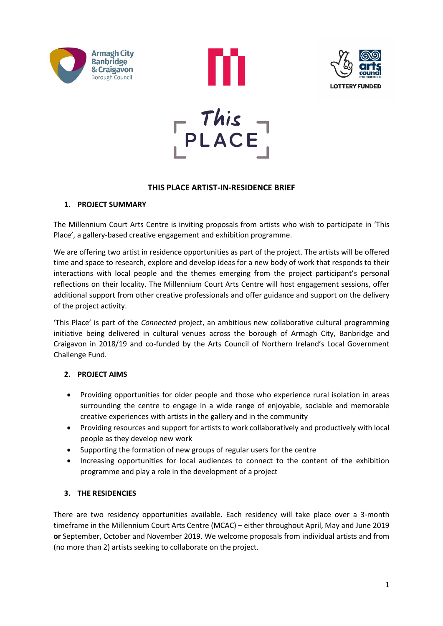





## **THIS PLACE ARTIST-IN-RESIDENCE BRIEF**

## **1. PROJECT SUMMARY**

The Millennium Court Arts Centre is inviting proposals from artists who wish to participate in 'This Place', a gallery-based creative engagement and exhibition programme.

We are offering two artist in residence opportunities as part of the project. The artists will be offered time and space to research, explore and develop ideas for a new body of work that responds to their interactions with local people and the themes emerging from the project participant's personal reflections on their locality. The Millennium Court Arts Centre will host engagement sessions, offer additional support from other creative professionals and offer guidance and support on the delivery of the project activity.

'This Place' is part of the *Connected* project, an ambitious new collaborative cultural programming initiative being delivered in cultural venues across the borough of Armagh City, Banbridge and Craigavon in 2018/19 and co-funded by the Arts Council of Northern Ireland's Local Government Challenge Fund.

# **2. PROJECT AIMS**

- Providing opportunities for older people and those who experience rural isolation in areas surrounding the centre to engage in a wide range of enjoyable, sociable and memorable creative experiences with artists in the gallery and in the community
- Providing resources and support for artists to work collaboratively and productively with local people as they develop new work
- Supporting the formation of new groups of regular users for the centre
- Increasing opportunities for local audiences to connect to the content of the exhibition programme and play a role in the development of a project

# **3. THE RESIDENCIES**

There are two residency opportunities available. Each residency will take place over a 3-month timeframe in the Millennium Court Arts Centre (MCAC) – either throughout April, May and June 2019 **or** September, October and November 2019. We welcome proposals from individual artists and from (no more than 2) artists seeking to collaborate on the project.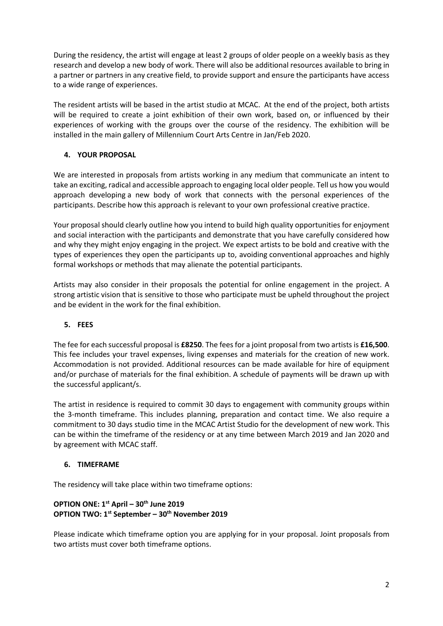During the residency, the artist will engage at least 2 groups of older people on a weekly basis as they research and develop a new body of work. There will also be additional resources available to bring in a partner or partners in any creative field, to provide support and ensure the participants have access to a wide range of experiences.

The resident artists will be based in the artist studio at MCAC. At the end of the project, both artists will be required to create a joint exhibition of their own work, based on, or influenced by their experiences of working with the groups over the course of the residency. The exhibition will be installed in the main gallery of Millennium Court Arts Centre in Jan/Feb 2020.

## **4. YOUR PROPOSAL**

We are interested in proposals from artists working in any medium that communicate an intent to take an exciting, radical and accessible approach to engaging local older people. Tell us how you would approach developing a new body of work that connects with the personal experiences of the participants. Describe how this approach is relevant to your own professional creative practice.

Your proposal should clearly outline how you intend to build high quality opportunities for enjoyment and social interaction with the participants and demonstrate that you have carefully considered how and why they might enjoy engaging in the project. We expect artists to be bold and creative with the types of experiences they open the participants up to, avoiding conventional approaches and highly formal workshops or methods that may alienate the potential participants.

Artists may also consider in their proposals the potential for online engagement in the project. A strong artistic vision that is sensitive to those who participate must be upheld throughout the project and be evident in the work for the final exhibition.

#### **5. FEES**

The fee for each successful proposal is **£8250**. The fees for a joint proposal from two artists is **£16,500**. This fee includes your travel expenses, living expenses and materials for the creation of new work. Accommodation is not provided. Additional resources can be made available for hire of equipment and/or purchase of materials for the final exhibition. A schedule of payments will be drawn up with the successful applicant/s.

The artist in residence is required to commit 30 days to engagement with community groups within the 3-month timeframe. This includes planning, preparation and contact time. We also require a commitment to 30 days studio time in the MCAC Artist Studio for the development of new work. This can be within the timeframe of the residency or at any time between March 2019 and Jan 2020 and by agreement with MCAC staff.

#### **6. TIMEFRAME**

The residency will take place within two timeframe options:

## **OPTION ONE: 1 st April – 30th June 2019 OPTION TWO: 1st September – 30th November 2019**

Please indicate which timeframe option you are applying for in your proposal. Joint proposals from two artists must cover both timeframe options.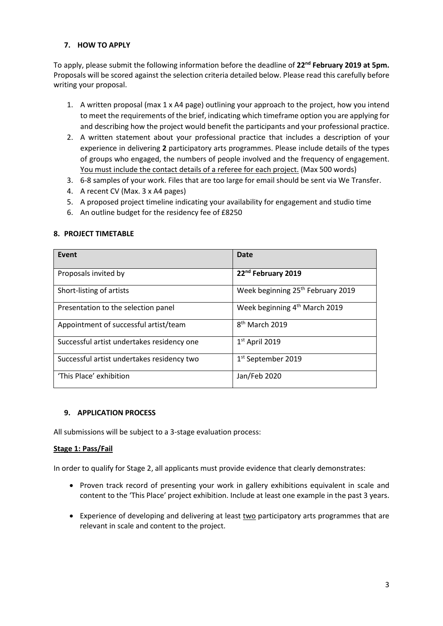#### **7. HOW TO APPLY**

To apply, please submit the following information before the deadline of **22nd February 2019 at 5pm.** Proposals will be scored against the selection criteria detailed below. Please read this carefully before writing your proposal.

- 1. A written proposal (max 1 x A4 page) outlining your approach to the project, how you intend to meet the requirements of the brief, indicating which timeframe option you are applying for and describing how the project would benefit the participants and your professional practice.
- 2. A written statement about your professional practice that includes a description of your experience in delivering **2** participatory arts programmes. Please include details of the types of groups who engaged, the numbers of people involved and the frequency of engagement. You must include the contact details of a referee for each project. (Max 500 words)
- 3. 6-8 samples of your work. Files that are too large for email should be sent via We Transfer.
- 4. A recent CV (Max. 3 x A4 pages)
- 5. A proposed project timeline indicating your availability for engagement and studio time
- 6. An outline budget for the residency fee of £8250

#### **8. PROJECT TIMETABLE**

| Event                                      | <b>Date</b>                                   |
|--------------------------------------------|-----------------------------------------------|
| Proposals invited by                       | 22 <sup>nd</sup> February 2019                |
| Short-listing of artists                   | Week beginning 25 <sup>th</sup> February 2019 |
| Presentation to the selection panel        | Week beginning 4 <sup>th</sup> March 2019     |
| Appointment of successful artist/team      | 8 <sup>th</sup> March 2019                    |
| Successful artist undertakes residency one | $1st$ April 2019                              |
| Successful artist undertakes residency two | 1 <sup>st</sup> September 2019                |
| 'This Place' exhibition                    | Jan/Feb 2020                                  |

#### **9. APPLICATION PROCESS**

All submissions will be subject to a 3-stage evaluation process:

#### **Stage 1: Pass/Fail**

In order to qualify for Stage 2, all applicants must provide evidence that clearly demonstrates:

- Proven track record of presenting your work in gallery exhibitions equivalent in scale and content to the 'This Place' project exhibition. Include at least one example in the past 3 years.
- Experience of developing and delivering at least two participatory arts programmes that are relevant in scale and content to the project.